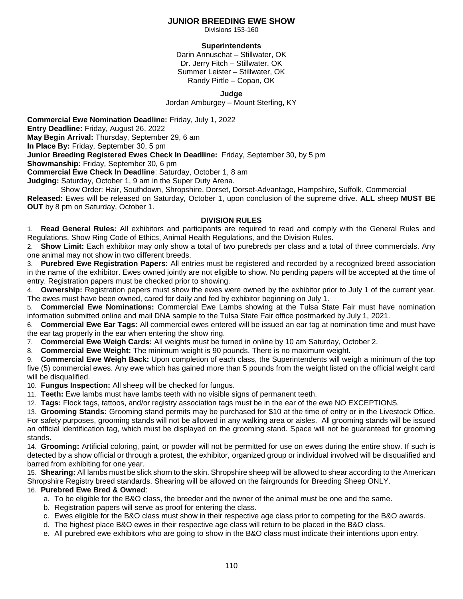## **JUNIOR BREEDING EWE SHOW**

Divisions 153-160

## **Superintendents**

Darin Annuschat – Stillwater, OK Dr. Jerry Fitch – Stillwater, OK Summer Leister – Stillwater, OK Randy Pirtle – Copan, OK

**Judge**

Jordan Amburgey – Mount Sterling, KY

**Commercial Ewe Nomination Deadline:** Friday, July 1, 2022 **Entry Deadline:** Friday, August 26, 2022 **May Begin Arrival:** Thursday, September 29, 6 am **In Place By:** Friday, September 30, 5 pm **Junior Breeding Registered Ewes Check In Deadline:** Friday, September 30, by 5 pm **Showmanship:** Friday, September 30, 6 pm **Commercial Ewe Check In Deadline**: Saturday, October 1, 8 am

**Judging:** Saturday, October 1, 9 am in the Super Duty Arena.

 Show Order: Hair, Southdown, Shropshire, Dorset, Dorset-Advantage, Hampshire, Suffolk, Commercial **Released:** Ewes will be released on Saturday, October 1, upon conclusion of the supreme drive. **ALL** sheep **MUST BE OUT** by 8 pm on Saturday, October 1.

### **DIVISION RULES**

1. **Read General Rules:** All exhibitors and participants are required to read and comply with the General Rules and Regulations, Show Ring Code of Ethics, Animal Health Regulations, and the Division Rules.

2. **Show Limit:** Each exhibitor may only show a total of two purebreds per class and a total of three commercials. Any one animal may not show in two different breeds.

3. **Purebred Ewe Registration Papers:** All entries must be registered and recorded by a recognized breed association in the name of the exhibitor. Ewes owned jointly are not eligible to show. No pending papers will be accepted at the time of entry. Registration papers must be checked prior to showing.

4. **Ownership:** Registration papers must show the ewes were owned by the exhibitor prior to July 1 of the current year. The ewes must have been owned, cared for daily and fed by exhibitor beginning on July 1.

5. **Commercial Ewe Nominations:** Commercial Ewe Lambs showing at the Tulsa State Fair must have nomination information submitted online and mail DNA sample to the Tulsa State Fair office postmarked by July 1, 2021.

6. **Commercial Ewe Ear Tags:** All commercial ewes entered will be issued an ear tag at nomination time and must have the ear tag properly in the ear when entering the show ring.

7. **Commercial Ewe Weigh Cards:** All weights must be turned in online by 10 am Saturday, October 2.

8. **Commercial Ewe Weight:** The minimum weight is 90 pounds. There is no maximum weight.

9. **Commercial Ewe Weigh Back:** Upon completion of each class, the Superintendents will weigh a minimum of the top five (5) commercial ewes. Any ewe which has gained more than 5 pounds from the weight listed on the official weight card will be disqualified.

10. **Fungus Inspection:** All sheep will be checked for fungus.

11. **Teeth:** Ewe lambs must have lambs teeth with no visible signs of permanent teeth.

12. **Tags:** Flock tags, tattoos, and/or registry association tags must be in the ear of the ewe NO EXCEPTIONS.

13. **Grooming Stands:** Grooming stand permits may be purchased for \$10 at the time of entry or in the Livestock Office. For safety purposes, grooming stands will not be allowed in any walking area or aisles. All grooming stands will be issued an official identification tag, which must be displayed on the grooming stand. Space will not be guaranteed for grooming stands.

14. **Grooming:** Artificial coloring, paint, or powder will not be permitted for use on ewes during the entire show. If such is detected by a show official or through a protest, the exhibitor, organized group or individual involved will be disqualified and barred from exhibiting for one year.

15. **Shearing:** All lambs must be slick shorn to the skin. Shropshire sheep will be allowed to shear according to the American Shropshire Registry breed standards. Shearing will be allowed on the fairgrounds for Breeding Sheep ONLY.

#### 16. **Purebred Ewe Bred & Owned**:

- a. To be eligible for the B&O class, the breeder and the owner of the animal must be one and the same.
- b. Registration papers will serve as proof for entering the class.
- c. Ewes eligible for the B&O class must show in their respective age class prior to competing for the B&O awards.
- d. The highest place B&O ewes in their respective age class will return to be placed in the B&O class.
- e. All purebred ewe exhibitors who are going to show in the B&O class must indicate their intentions upon entry.